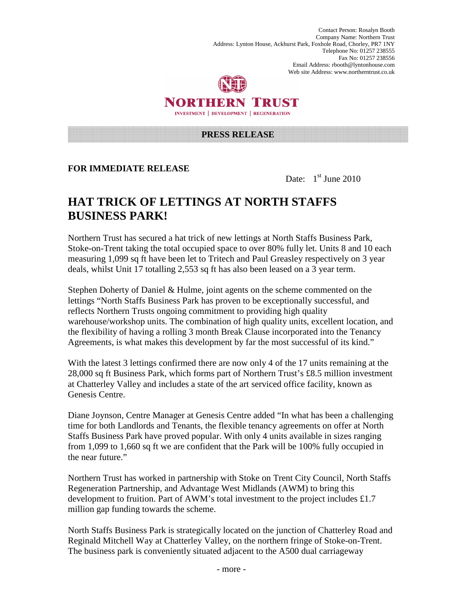Contact Person: Rosalyn Booth Company Name: Northern Trust Address: Lynton House, Ackhurst Park, Foxhole Road, Chorley, PR7 1NY Telephone No: 01257 238555 Fax No: 01257 238556 Email Address: rbooth@lyntonhouse.com Web site Address: www.northerntrust.co.uk



## NORTHERN TRUST **INVESTMENT | DEVELOPMENT | REGENERATION**

#### **PRESS RELEASE**

### **FOR IMMEDIATE RELEASE**

Date: 1<sup>st</sup> June 2010

# **HAT TRICK OF LETTINGS AT NORTH STAFFS BUSINESS PARK!**

Northern Trust has secured a hat trick of new lettings at North Staffs Business Park, Stoke-on-Trent taking the total occupied space to over 80% fully let. Units 8 and 10 each measuring 1,099 sq ft have been let to Tritech and Paul Greasley respectively on 3 year deals, whilst Unit 17 totalling 2,553 sq ft has also been leased on a 3 year term.

Stephen Doherty of Daniel & Hulme, joint agents on the scheme commented on the lettings "North Staffs Business Park has proven to be exceptionally successful, and reflects Northern Trusts ongoing commitment to providing high quality warehouse/workshop units. The combination of high quality units, excellent location, and the flexibility of having a rolling 3 month Break Clause incorporated into the Tenancy Agreements, is what makes this development by far the most successful of its kind."

With the latest 3 lettings confirmed there are now only 4 of the 17 units remaining at the 28,000 sq ft Business Park, which forms part of Northern Trust's £8.5 million investment at Chatterley Valley and includes a state of the art serviced office facility, known as Genesis Centre.

Diane Joynson, Centre Manager at Genesis Centre added "In what has been a challenging time for both Landlords and Tenants, the flexible tenancy agreements on offer at North Staffs Business Park have proved popular. With only 4 units available in sizes ranging from 1,099 to 1,660 sq ft we are confident that the Park will be 100% fully occupied in the near future."

Northern Trust has worked in partnership with Stoke on Trent City Council, North Staffs Regeneration Partnership, and Advantage West Midlands (AWM) to bring this development to fruition. Part of AWM's total investment to the project includes £1.7 million gap funding towards the scheme.

North Staffs Business Park is strategically located on the junction of Chatterley Road and Reginald Mitchell Way at Chatterley Valley, on the northern fringe of Stoke-on-Trent. The business park is conveniently situated adjacent to the A500 dual carriageway